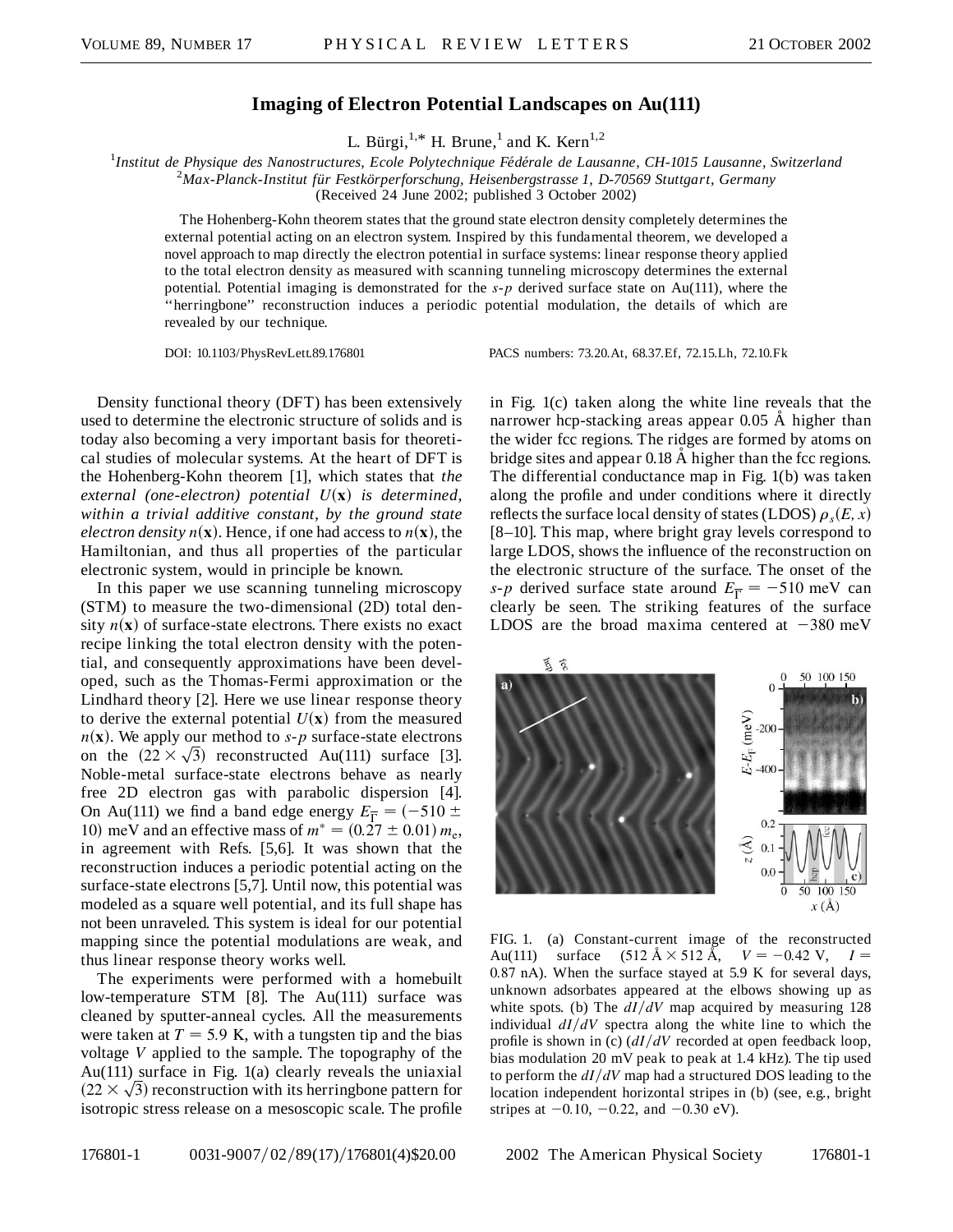## **Imaging of Electron Potential Landscapes on Au(111)**

L. Bürgi,<sup>1,\*</sup> H. Brune,<sup>1</sup> and K. Kern<sup>1,2</sup>

<sup>1</sup>Institut de Physique des Nanostructures, Ecole Polytechnique Fédérale de Lausanne, CH-1015 Lausanne, Switzerland<br><sup>2</sup>Max Planck Institut für Eestkörnerforschung, Heisenbergstrasse L. D. 70560 Stuttgart, Germany *Max-Planck-Institut fu¨r Festko¨rperforschung, Heisenbergstrasse 1, D-70569 Stuttgart, Germany*

(Received 24 June 2002; published 3 October 2002)

The Hohenberg-Kohn theorem states that the ground state electron density completely determines the external potential acting on an electron system. Inspired by this fundamental theorem, we developed a novel approach to map directly the electron potential in surface systems: linear response theory applied to the total electron density as measured with scanning tunneling microscopy determines the external potential. Potential imaging is demonstrated for the *s*-*p* derived surface state on Au(111), where the ''herringbone'' reconstruction induces a periodic potential modulation, the details of which are revealed by our technique.

DOI: 10.1103/PhysRevLett.89.176801 PACS numbers: 73.20.At, 68.37.Ef, 72.15.Lh, 72.10.Fk

Density functional theory (DFT) has been extensively used to determine the electronic structure of solids and is today also becoming a very important basis for theoretical studies of molecular systems. At the heart of DFT is the Hohenberg-Kohn theorem [1], which states that *the external (one-electron) potential U***x**- *is determined, within a trivial additive constant, by the ground state electron density*  $n(\mathbf{x})$ . Hence, if one had access to  $n(\mathbf{x})$ , the Hamiltonian, and thus all properties of the particular electronic system, would in principle be known.

In this paper we use scanning tunneling microscopy (STM) to measure the two-dimensional (2D) total density  $n(\mathbf{x})$  of surface-state electrons. There exists no exact recipe linking the total electron density with the potential, and consequently approximations have been developed, such as the Thomas-Fermi approximation or the Lindhard theory [2]. Here we use linear response theory to derive the external potential  $U(x)$  from the measured  $n(\mathbf{x})$ . We apply our method to *s*-*p* surface-state electrons *n*(**x**). We apply our method to *s*-*p* surface-state electrons on the  $(22 \times \sqrt{3})$  reconstructed Au(111) surface [3]. Noble-metal surface-state electrons behave as nearly free 2D electron gas with parabolic dispersion [4]. On Au(111) we find a band edge energy  $E_{\overline{\Gamma}} = (-510 \pm 100)$ 10) meV and an effective mass of  $m^* = (0.27 \pm 0.01) m_e$ , in agreement with Refs. [5,6]. It was shown that the reconstruction induces a periodic potential acting on the surface-state electrons [5,7]. Until now, this potential was modeled as a square well potential, and its full shape has not been unraveled. This system is ideal for our potential mapping since the potential modulations are weak, and thus linear response theory works well.

The experiments were performed with a homebuilt low-temperature STM [8]. The Au(111) surface was cleaned by sputter-anneal cycles. All the measurements were taken at  $T = 5.9$  K, with a tungsten tip and the bias voltage *V* applied to the sample. The topography of the Au(111) surface in Fig. 1(a) clearly reveals the uniaxial Au(111) surface in Fig. 1(a) clearly reveals the uniaxial  $(22 \times \sqrt{3})$  reconstruction with its herringbone pattern for isotropic stress release on a mesoscopic scale. The profile in Fig. 1(c) taken along the white line reveals that the narrower hcp-stacking areas appear  $0.05 \text{ Å}$  higher than the wider fcc regions. The ridges are formed by atoms on bridge sites and appear 0.18 Å higher than the fcc regions. The differential conductance map in Fig. 1(b) was taken along the profile and under conditions where it directly reflects the surface local density of states (LDOS)  $\rho_s(E, x)$ [8–10]. This map, where bright gray levels correspond to large LDOS, shows the influence of the reconstruction on the electronic structure of the surface. The onset of the *s*-*p* derived surface state around  $E_{\overline{\Gamma}} = -510$  meV can clearly be seen. The striking features of the surface LDOS are the broad maxima centered at  $-380$  meV



FIG. 1. (a) Constant-current image of the reconstructed Au(111) surface  $(512 \text{ Å} \times 512 \text{ Å}, V = -0.42 \text{ V}, I =$ 0*:*87 nA). When the surface stayed at 5.9 K for several days, unknown adsorbates appeared at the elbows showing up as white spots. (b) The  $dI/dV$  map acquired by measuring 128 individual  $dI/dV$  spectra along the white line to which the profile is shown in (c)  $\frac{dI}{dV}$  recorded at open feedback loop, bias modulation 20 mV peak to peak at 1.4 kHz). The tip used to perform the  $dI/dV$  map had a structured DOS leading to the location independent horizontal stripes in (b) (see, e.g., bright stripes at  $-0.10$ ,  $-0.22$ , and  $-0.30$  eV).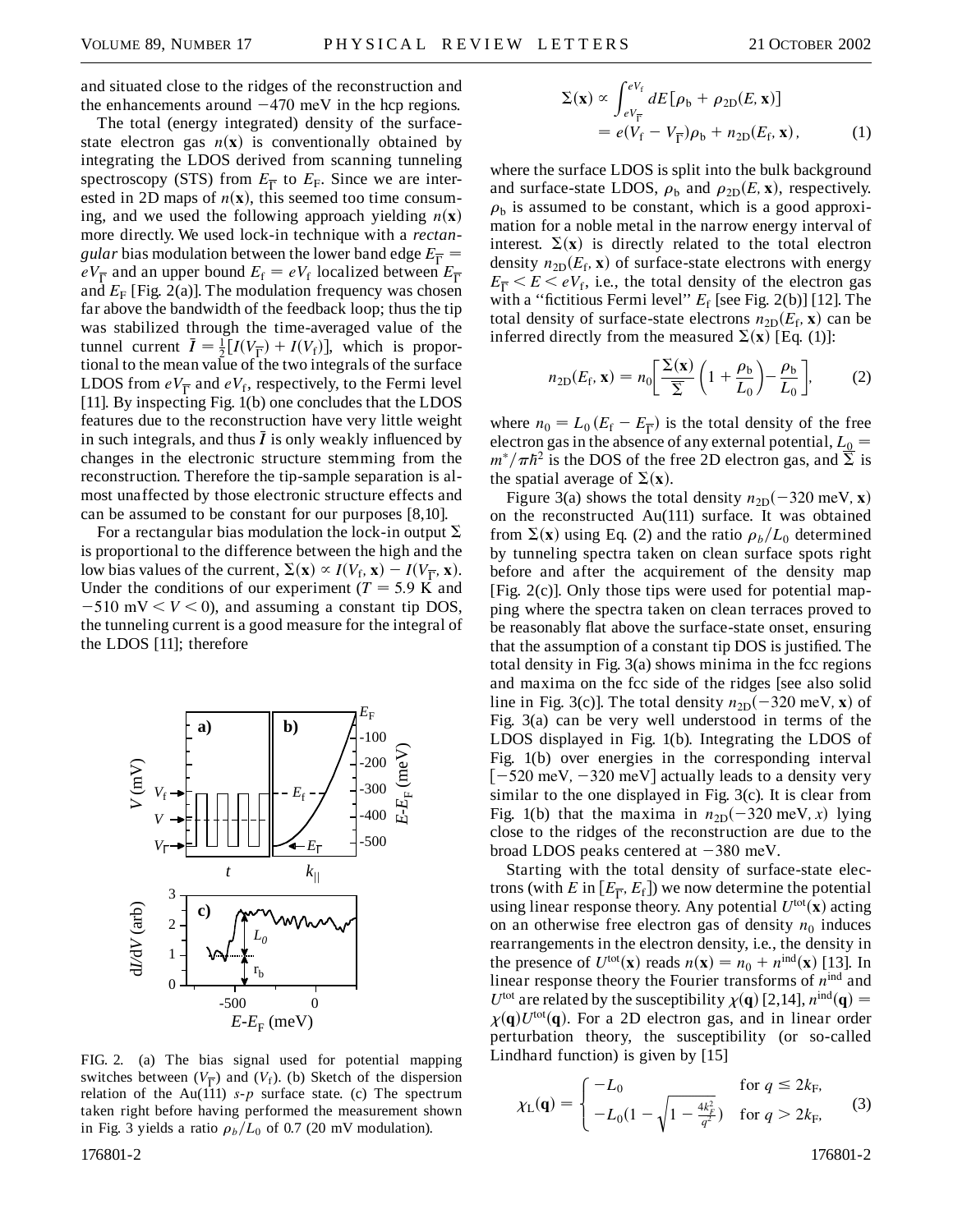and situated close to the ridges of the reconstruction and the enhancements around  $-470$  meV in the hcp regions.

The total (energy integrated) density of the surfacestate electron gas  $n(x)$  is conventionally obtained by integrating the LDOS derived from scanning tunneling spectroscopy (STS) from  $E_{\overline{\Gamma}}$  to  $E_{\overline{F}}$ . Since we are interested in 2D maps of  $n(x)$ , this seemed too time consuming, and we used the following approach yielding  $n(\mathbf{x})$ more directly. We used lock-in technique with a *rectangular* bias modulation between the lower band edge  $E_{\overline{\Gamma}} =$  $eV_{\overline{\Gamma}}$  and an upper bound  $E_f = eV_f$  localized between  $E_{\overline{\Gamma}}$ and  $E_F$  [Fig. 2(a)]. The modulation frequency was chosen far above the bandwidth of the feedback loop; thus the tip was stabilized through the time-averaged value of the tunnel current  $\bar{I} = \frac{1}{2}[I(V_{\bar{\Gamma}}) + I(V_{\rm f})]$ , which is proportional to the mean value of the two integrals of the surface LDOS from  $eV_{\overline{\Gamma}}$  and  $eV_f$ , respectively, to the Fermi level [11]. By inspecting Fig. 1(b) one concludes that the LDOS features due to the reconstruction have very little weight in such integrals, and thus  $\bar{I}$  is only weakly influenced by changes in the electronic structure stemming from the reconstruction. Therefore the tip-sample separation is almost unaffected by those electronic structure effects and can be assumed to be constant for our purposes [8,10].

For a rectangular bias modulation the lock-in output  $\Sigma$ is proportional to the difference between the high and the low bias values of the current,  $\Sigma(\mathbf{x}) \propto I(V_f, \mathbf{x}) - I(V_{\overline{\Gamma}}, \mathbf{x})$ . Under the conditions of our experiment ( $T = 5.9$  K and  $-510$  mV  $\lt$   $V$   $\lt$  0), and assuming a constant tip DOS, the tunneling current is a good measure for the integral of the LDOS [11]; therefore



FIG. 2. (a) The bias signal used for potential mapping switches between  $(V_{\overline{\Gamma}})$  and  $(V_f)$ . (b) Sketch of the dispersion relation of the Au(111)  $s-p$  surface state. (c) The spectrum taken right before having performed the measurement shown in Fig. 3 yields a ratio  $\rho_b/L_0$  of 0.7 (20 mV modulation).

$$
\Sigma(\mathbf{x}) \propto \int_{eV_{\overline{\Gamma}}}^{eV_{\text{f}}} dE[\rho_{\text{b}} + \rho_{2\text{D}}(E, \mathbf{x})]
$$
  
=  $e(V_{\text{f}} - V_{\overline{\Gamma}})\rho_{\text{b}} + n_{2\text{D}}(E_{\text{f}}, \mathbf{x}),$  (1)

where the surface LDOS is split into the bulk background and surface-state LDOS,  $\rho_b$  and  $\rho_{2D}(E, \mathbf{x})$ , respectively.  $\rho<sub>b</sub>$  is assumed to be constant, which is a good approximation for a noble metal in the narrow energy interval of interest.  $\Sigma(\mathbf{x})$  is directly related to the total electron density  $n_{2D}(E_f, \mathbf{x})$  of surface-state electrons with energy  $E_{\overline{\Gamma}} < E < eV_f$ , i.e., the total density of the electron gas with a "fictitious Fermi level"  $E_f$  [see Fig. 2(b)] [12]. The total density of surface-state electrons  $n_{2D}(E_f, \mathbf{x})$  can be inferred directly from the measured  $\Sigma(\mathbf{x})$  [Eq. (1)]:

$$
n_{2D}(E_f, \mathbf{x}) = n_0 \left[ \frac{\Sigma(\mathbf{x})}{\overline{\Sigma}} \left( 1 + \frac{\rho_b}{L_0} \right) - \frac{\rho_b}{L_0} \right],\tag{2}
$$

where  $n_0 = L_0 (E_f - E_{\overline{\Gamma}})$  is the total density of the free electron gas in the absence of any external potential,  $L_0 =$  $m^*/\pi h^2$  is the DOS of the free 2D electron gas, and  $\Sigma$  is the spatial average of  $\Sigma(\mathbf{x})$ .

Figure 3(a) shows the total density  $n_{2D}$  $(-320 \text{ meV}, \mathbf{x})$ on the reconstructed Au(111) surface. It was obtained from  $\Sigma(\mathbf{x})$  using Eq. (2) and the ratio  $\rho_b/L_0$  determined by tunneling spectra taken on clean surface spots right before and after the acquirement of the density map [Fig. 2(c)]. Only those tips were used for potential mapping where the spectra taken on clean terraces proved to be reasonably flat above the surface-state onset, ensuring that the assumption of a constant tip DOS is justified. The total density in Fig. 3(a) shows minima in the fcc regions and maxima on the fcc side of the ridges [see also solid line in Fig. 3(c)]. The total density  $n_{2D}(-320 \text{ meV}, \mathbf{x})$  of Fig. 3(a) can be very well understood in terms of the LDOS displayed in Fig. 1(b). Integrating the LDOS of Fig. 1(b) over energies in the corresponding interval  $[-520 \text{ meV}, -320 \text{ meV}]$  actually leads to a density very similar to the one displayed in Fig. 3(c). It is clear from Fig. 1(b) that the maxima in  $n_{2D}(-320 \text{ meV}, x)$  lying close to the ridges of the reconstruction are due to the broad LDOS peaks centered at  $-380$  meV.

Starting with the total density of surface-state electrons (with *E* in  $[E_{\overline{\Gamma}}, E_f]$ ) we now determine the potential using linear response theory. Any potential  $U^{\text{tot}}(\mathbf{x})$  acting on an otherwise free electron gas of density  $n_0$  induces rearrangements in the electron density, i.e., the density in the presence of  $U^{\text{tot}}(\mathbf{x})$  reads  $n(\mathbf{x}) = n_0 + n^{\text{ind}}(\mathbf{x})$  [13]. In linear response theory the Fourier transforms of *n*ind and  $U^{\text{tot}}$  are related by the susceptibility  $\chi(\mathbf{q})$  [2,14],  $n^{\text{ind}}(\mathbf{q}) =$  $\chi(\mathbf{q})U^{\text{tot}}(\mathbf{q})$ . For a 2D electron gas, and in linear order perturbation theory, the susceptibility (or so-called Lindhard function) is given by [15]

$$
\chi_{\rm L}(\mathbf{q}) = \begin{cases}\n-L_0 & \text{for } q \le 2k_{\rm F}, \\
-L_0(1 - \sqrt{1 - \frac{4k_F^2}{q^2}}) & \text{for } q > 2k_{\rm F},\n\end{cases}
$$
\n(3)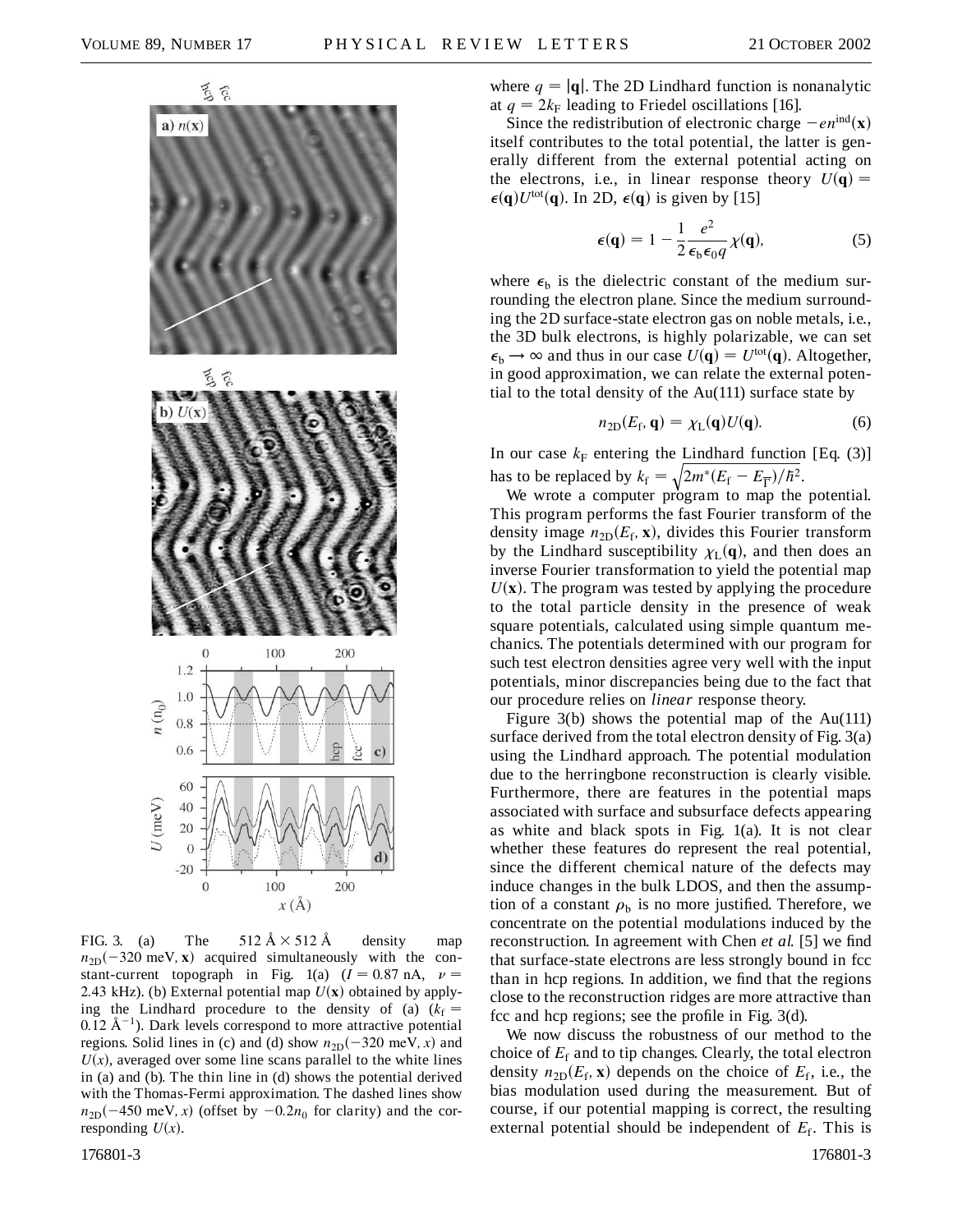

FIG. 3. (a) The  $512 \text{ Å} \times 512 \text{ Å}$  density map  $n_{2D}$ (-320 meV, **x**) acquired simultaneously with the constant-current topograph in Fig. 1(a)  $(I = 0.87 \text{ nA}, \nu =$ 2.43 kHz). (b) External potential map  $U(\mathbf{x})$  obtained by applying the Lindhard procedure to the density of (a)  $(k_f =$  $0.12 \text{ Å}^{-1}$ ). Dark levels correspond to more attractive potential regions. Solid lines in (c) and (d) show  $n_{2D}(-320 \text{ meV}, x)$  and  $U(x)$ , averaged over some line scans parallel to the white lines in (a) and (b). The thin line in (d) shows the potential derived with the Thomas-Fermi approximation. The dashed lines show  $n_{2D}(-450 \text{ meV}, x)$  (offset by  $-0.2n_0$  for clarity) and the corresponding  $U(x)$ .

where  $q = |\mathbf{q}|$ . The 2D Lindhard function is nonanalytic at  $q = 2k_F$  leading to Friedel oscillations [16].

Since the redistribution of electronic charge  $-en<sup>ind</sup>(**x**)$ itself contributes to the total potential, the latter is generally different from the external potential acting on the electrons, i.e., in linear response theory  $U(q)$  =  $\epsilon(\mathbf{q})U^{\text{tot}}(\mathbf{q})$ . In 2D,  $\epsilon(\mathbf{q})$  is given by [15]

$$
\epsilon(\mathbf{q}) = 1 - \frac{1}{2} \frac{e^2}{\epsilon_b \epsilon_0 q} \chi(\mathbf{q}), \tag{5}
$$

where  $\epsilon_{\rm b}$  is the dielectric constant of the medium surrounding the electron plane. Since the medium surrounding the 2D surface-state electron gas on noble metals, i.e., the 3D bulk electrons, is highly polarizable, we can set  $\epsilon_{\rm b} \rightarrow \infty$  and thus in our case  $U(\mathbf{q}) = U^{\text{tot}}(\mathbf{q})$ . Altogether, in good approximation, we can relate the external potential to the total density of the Au(111) surface state by

$$
n_{2D}(E_f, \mathbf{q}) = \chi_L(\mathbf{q}) U(\mathbf{q}). \tag{6}
$$

In our case  $k_F$  entering the Lindhard function [Eq. (3)] has to be replaced by  $k_f = \sqrt{2m^*(E_f - E_{\overline{\Gamma}})/\hbar^2}$ .

We wrote a computer program to map the potential. This program performs the fast Fourier transform of the density image  $n_{2D}(E_f, \mathbf{x})$ , divides this Fourier transform by the Lindhard susceptibility  $\chi_L(\mathbf{q})$ , and then does an inverse Fourier transformation to yield the potential map  $U(\mathbf{x})$ . The program was tested by applying the procedure to the total particle density in the presence of weak square potentials, calculated using simple quantum mechanics. The potentials determined with our program for such test electron densities agree very well with the input potentials, minor discrepancies being due to the fact that our procedure relies on *linear* response theory.

Figure  $3(b)$  shows the potential map of the Au(111) surface derived from the total electron density of Fig. 3(a) using the Lindhard approach. The potential modulation due to the herringbone reconstruction is clearly visible. Furthermore, there are features in the potential maps associated with surface and subsurface defects appearing as white and black spots in Fig. 1(a). It is not clear whether these features do represent the real potential, since the different chemical nature of the defects may induce changes in the bulk LDOS, and then the assumption of a constant  $\rho_b$  is no more justified. Therefore, we concentrate on the potential modulations induced by the reconstruction. In agreement with Chen *et al.* [5] we find that surface-state electrons are less strongly bound in fcc than in hcp regions. In addition, we find that the regions close to the reconstruction ridges are more attractive than fcc and hcp regions; see the profile in Fig. 3(d).

We now discuss the robustness of our method to the choice of  $E_f$  and to tip changes. Clearly, the total electron density  $n_{2D}(E_f, \mathbf{x})$  depends on the choice of  $E_f$ , i.e., the bias modulation used during the measurement. But of course, if our potential mapping is correct, the resulting external potential should be independent of  $E_f$ . This is